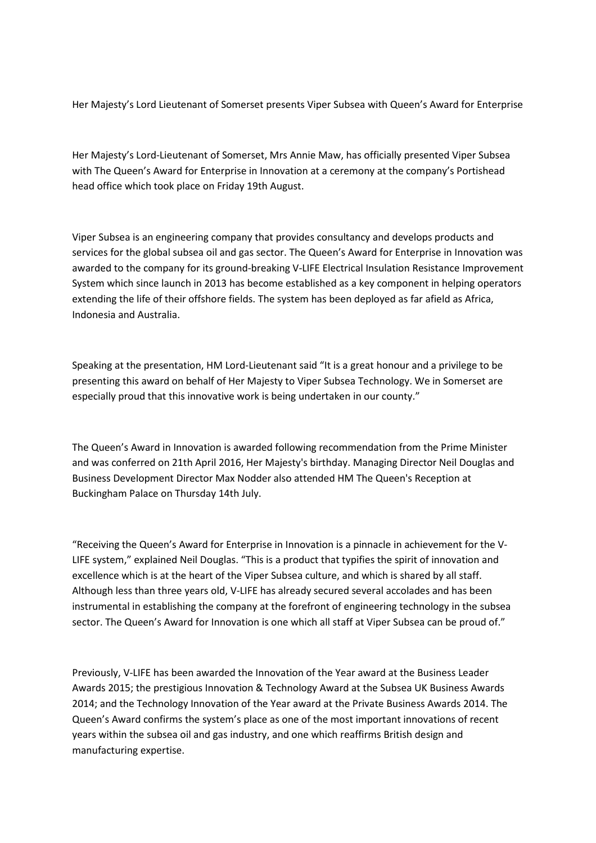Her Majesty's Lord Lieutenant of Somerset presents Viper Subsea with Queen's Award for Enterprise

Her Majesty's Lord-Lieutenant of Somerset, Mrs Annie Maw, has officially presented Viper Subsea with The Queen's Award for Enterprise in Innovation at a ceremony at the company's Portishead head office which took place on Friday 19th August.

Viper Subsea is an engineering company that provides consultancy and develops products and services for the global subsea oil and gas sector. The Queen's Award for Enterprise in Innovation was awarded to the company for its ground-breaking V-LIFE Electrical Insulation Resistance Improvement System which since launch in 2013 has become established as a key component in helping operators extending the life of their offshore fields. The system has been deployed as far afield as Africa, Indonesia and Australia.

Speaking at the presentation, HM Lord-Lieutenant said "It is a great honour and a privilege to be presenting this award on behalf of Her Majesty to Viper Subsea Technology. We in Somerset are especially proud that this innovative work is being undertaken in our county."

The Queen's Award in Innovation is awarded following recommendation from the Prime Minister and was conferred on 21th April 2016, Her Majesty's birthday. Managing Director Neil Douglas and Business Development Director Max Nodder also attended HM The Queen's Reception at Buckingham Palace on Thursday 14th July.

"Receiving the Queen's Award for Enterprise in Innovation is a pinnacle in achievement for the V-LIFE system," explained Neil Douglas. "This is a product that typifies the spirit of innovation and excellence which is at the heart of the Viper Subsea culture, and which is shared by all staff. Although less than three years old, V-LIFE has already secured several accolades and has been instrumental in establishing the company at the forefront of engineering technology in the subsea sector. The Queen's Award for Innovation is one which all staff at Viper Subsea can be proud of."

Previously, V-LIFE has been awarded the Innovation of the Year award at the Business Leader Awards 2015; the prestigious Innovation & Technology Award at the Subsea UK Business Awards 2014; and the Technology Innovation of the Year award at the Private Business Awards 2014. The Queen's Award confirms the system's place as one of the most important innovations of recent years within the subsea oil and gas industry, and one which reaffirms British design and manufacturing expertise.